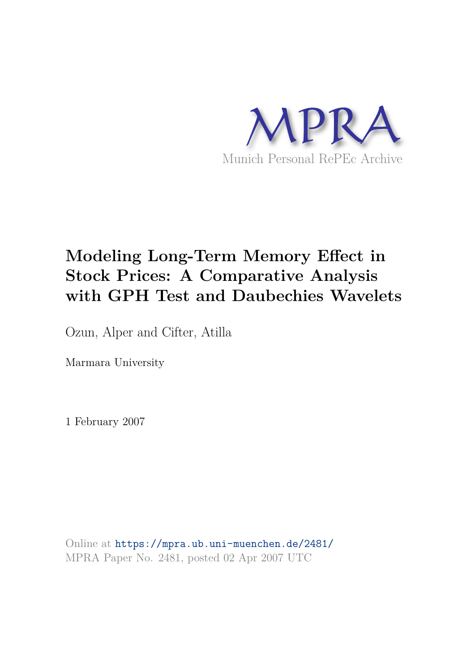

# **Modeling Long-Term Memory Effect in Stock Prices: A Comparative Analysis with GPH Test and Daubechies Wavelets**

Ozun, Alper and Cifter, Atilla

Marmara University

1 February 2007

Online at https://mpra.ub.uni-muenchen.de/2481/ MPRA Paper No. 2481, posted 02 Apr 2007 UTC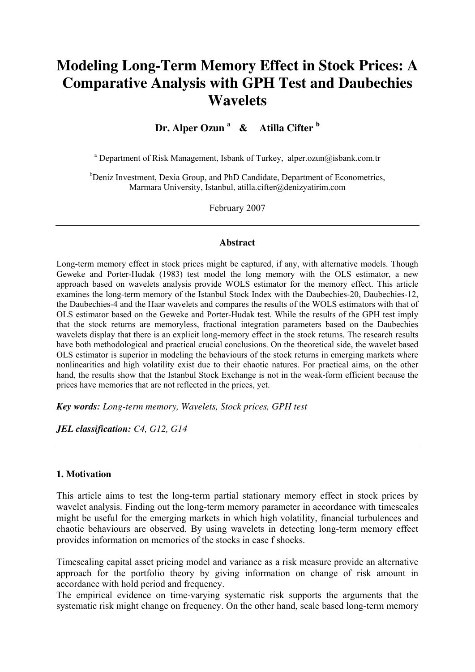# **Modeling Long-Term Memory Effect in Stock Prices: A Comparative Analysis with GPH Test and Daubechies Wavelets**

**Dr. Alper Ozun <sup>a</sup>& Atilla Cifter <sup>b</sup>**

<sup>a</sup> Department of Risk Management, Isbank of Turkey, alper.ozun@isbank.com.tr

 $b$ Deniz Investment, Dexia Group, and PhD Candidate, Department of Econometrics, Marmara University, Istanbul, atilla.cifter@denizyatirim.com

February 2007

#### **Abstract**

Long-term memory effect in stock prices might be captured, if any, with alternative models. Though Geweke and Porter-Hudak (1983) test model the long memory with the OLS estimator, a new approach based on wavelets analysis provide WOLS estimator for the memory effect. This article examines the long-term memory of the Istanbul Stock Index with the Daubechies-20, Daubechies-12, the Daubechies-4 and the Haar wavelets and compares the results of the WOLS estimators with that of OLS estimator based on the Geweke and Porter-Hudak test. While the results of the GPH test imply that the stock returns are memoryless, fractional integration parameters based on the Daubechies wavelets display that there is an explicit long-memory effect in the stock returns. The research results have both methodological and practical crucial conclusions. On the theoretical side, the wavelet based OLS estimator is superior in modeling the behaviours of the stock returns in emerging markets where nonlinearities and high volatility exist due to their chaotic natures. For practical aims, on the other hand, the results show that the Istanbul Stock Exchange is not in the weak-form efficient because the prices have memories that are not reflected in the prices, yet.

*Key words: Long-term memory, Wavelets, Stock prices, GPH test* 

*JEL classification: C4, G12, G14*

#### **1. Motivation**

This article aims to test the long-term partial stationary memory effect in stock prices by wavelet analysis. Finding out the long-term memory parameter in accordance with timescales might be useful for the emerging markets in which high volatility, financial turbulences and chaotic behaviours are observed. By using wavelets in detecting long-term memory effect provides information on memories of the stocks in case f shocks.

Timescaling capital asset pricing model and variance as a risk measure provide an alternative approach for the portfolio theory by giving information on change of risk amount in accordance with hold period and frequency.

The empirical evidence on time-varying systematic risk supports the arguments that the systematic risk might change on frequency. On the other hand, scale based long-term memory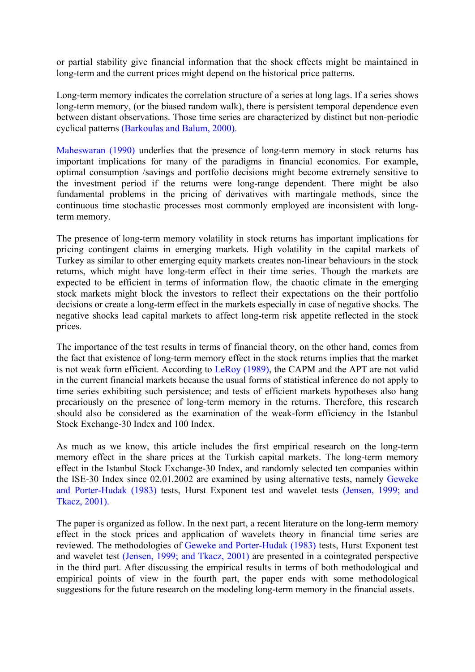or partial stability give financial information that the shock effects might be maintained in long-term and the current prices might depend on the historical price patterns.

Long-term memory indicates the correlation structure of a series at long lags. If a series shows long-term memory, (or the biased random walk), there is persistent temporal dependence even between distant observations. Those time series are characterized by distinct but non-periodic cyclical patterns (Barkoulas and Balum, 2000).

Maheswaran (1990) underlies that the presence of long-term memory in stock returns has important implications for many of the paradigms in financial economics. For example, optimal consumption /savings and portfolio decisions might become extremely sensitive to the investment period if the returns were long-range dependent. There might be also fundamental problems in the pricing of derivatives with martingale methods, since the continuous time stochastic processes most commonly employed are inconsistent with longterm memory.

The presence of long-term memory volatility in stock returns has important implications for pricing contingent claims in emerging markets. High volatility in the capital markets of Turkey as similar to other emerging equity markets creates non-linear behaviours in the stock returns, which might have long-term effect in their time series. Though the markets are expected to be efficient in terms of information flow, the chaotic climate in the emerging stock markets might block the investors to reflect their expectations on the their portfolio decisions or create a long-term effect in the markets especially in case of negative shocks. The negative shocks lead capital markets to affect long-term risk appetite reflected in the stock prices.

The importance of the test results in terms of financial theory, on the other hand, comes from the fact that existence of long-term memory effect in the stock returns implies that the market is not weak form efficient. According to LeRoy (1989), the CAPM and the APT are not valid in the current financial markets because the usual forms of statistical inference do not apply to time series exhibiting such persistence; and tests of efficient markets hypotheses also hang precariously on the presence of long-term memory in the returns. Therefore, this research should also be considered as the examination of the weak-form efficiency in the Istanbul Stock Exchange-30 Index and 100 Index.

As much as we know, this article includes the first empirical research on the long-term memory effect in the share prices at the Turkish capital markets. The long-term memory effect in the Istanbul Stock Exchange-30 Index, and randomly selected ten companies within the ISE-30 Index since 02.01.2002 are examined by using alternative tests, namely Geweke and Porter-Hudak (1983) tests, Hurst Exponent test and wavelet tests (Jensen, 1999; and Tkacz, 2001).

The paper is organized as follow. In the next part, a recent literature on the long-term memory effect in the stock prices and application of wavelets theory in financial time series are reviewed. The methodologies of Geweke and Porter-Hudak (1983) tests, Hurst Exponent test and wavelet test (Jensen, 1999; and Tkacz, 2001) are presented in a cointegrated perspective in the third part. After discussing the empirical results in terms of both methodological and empirical points of view in the fourth part, the paper ends with some methodological suggestions for the future research on the modeling long-term memory in the financial assets.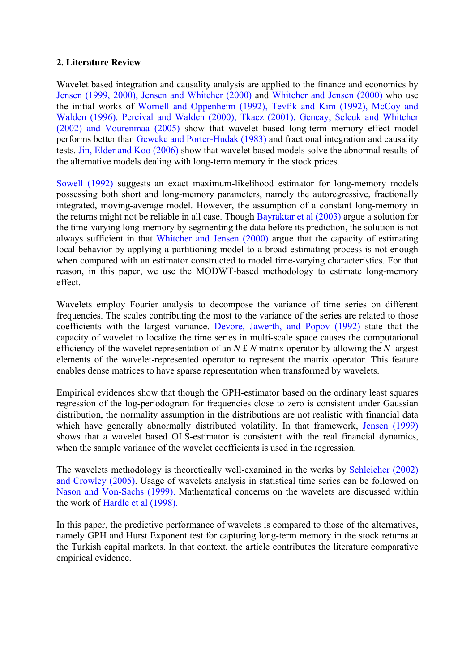# **2. Literature Review**

Wavelet based integration and causality analysis are applied to the finance and economics by Jensen (1999, 2000), Jensen and Whitcher (2000) and Whitcher and Jensen (2000) who use the initial works of Wornell and Oppenheim (1992), Tevfik and Kim (1992), McCoy and Walden (1996). Percival and Walden (2000), Tkacz (2001), Gencay, Selcuk and Whitcher (2002) and Vourenmaa (2005) show that wavelet based long-term memory effect model performs better than Geweke and Porter-Hudak (1983) and fractional integration and causality tests. Jin, Elder and Koo (2006) show that wavelet based models solve the abnormal results of the alternative models dealing with long-term memory in the stock prices.

Sowell (1992) suggests an exact maximum-likelihood estimator for long-memory models possessing both short and long-memory parameters, namely the autoregressive, fractionally integrated, moving-average model. However, the assumption of a constant long-memory in the returns might not be reliable in all case. Though Bayraktar et al (2003) argue a solution for the time-varying long-memory by segmenting the data before its prediction, the solution is not always sufficient in that Whitcher and Jensen (2000) argue that the capacity of estimating local behavior by applying a partitioning model to a broad estimating process is not enough when compared with an estimator constructed to model time-varying characteristics. For that reason, in this paper, we use the MODWT-based methodology to estimate long-memory effect.

Wavelets employ Fourier analysis to decompose the variance of time series on different frequencies. The scales contributing the most to the variance of the series are related to those coefficients with the largest variance. Devore, Jawerth, and Popov (1992) state that the capacity of wavelet to localize the time series in multi-scale space causes the computational efficiency of the wavelet representation of an *N* £ *N* matrix operator by allowing the *N* largest elements of the wavelet-represented operator to represent the matrix operator. This feature enables dense matrices to have sparse representation when transformed by wavelets.

Empirical evidences show that though the GPH-estimator based on the ordinary least squares regression of the log-periodogram for frequencies close to zero is consistent under Gaussian distribution, the normality assumption in the distributions are not realistic with financial data which have generally abnormally distributed volatility. In that framework, Jensen (1999) shows that a wavelet based OLS-estimator is consistent with the real financial dynamics, when the sample variance of the wavelet coefficients is used in the regression.

The wavelets methodology is theoretically well-examined in the works by Schleicher (2002) and Crowley (2005). Usage of wavelets analysis in statistical time series can be followed on Nason and Von-Sachs (1999). Mathematical concerns on the wavelets are discussed within the work of Hardle et al (1998).

In this paper, the predictive performance of wavelets is compared to those of the alternatives, namely GPH and Hurst Exponent test for capturing long-term memory in the stock returns at the Turkish capital markets. In that context, the article contributes the literature comparative empirical evidence.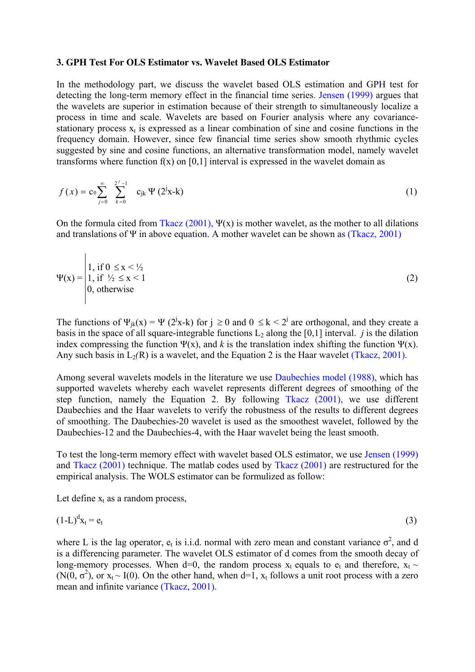#### **3. GPH Test For OLS Estimator vs. Wavelet Based OLS Estimator**

In the methodology part, we discuss the wavelet based OLS estimation and GPH test for detecting the long-term memory effect in the financial time series. Jensen (1999) argues that the wavelets are superior in estimation because of their strength to simultaneously localize a process in time and scale. Wavelets are based on Fourier analysis where any covariancestationary process  $x_t$  is expressed as a linear combination of sine and cosine functions in the frequency domain. However, since few financial time series show smooth rhythmic cycles suggested by sine and cosine functions, an alternative transformation model, namely wavelet transforms where function  $f(x)$  on [0,1] interval is expressed in the wavelet domain as

$$
f(x) = c_0 \sum_{j=0}^{\infty} \sum_{k=0}^{2^{j}-1} c_{jk} \Psi(2^{j}x-k)
$$
 (1)

On the formula cited from Tkacz (2001),  $\Psi(x)$  is mother wavelet, as the mother to all dilations and translations of  $\Psi$  in above equation. A mother wavelet can be shown as (Tkacz, 2001)

$$
\Psi(x) = \begin{vmatrix} 1, & \text{if } 0 \le x < \frac{1}{2} \\ 1, & \text{if } \frac{1}{2} \le x < 1 \\ 0, & \text{otherwise} \end{vmatrix} \tag{2}
$$

The functions of  $\Psi_{jk}(x) = \Psi(2^{j}x-k)$  for  $j \ge 0$  and  $0 \le k < 2^{j}$  are orthogonal, and they create a basis in the space of all square-integrable functions  $L_2$  along the [0,1] interval. *j* is the dilation index compressing the function  $\Psi(x)$ , and *k* is the translation index shifting the function  $\Psi(x)$ . Any such basis in  $L_2(R)$  is a wavelet, and the Equation 2 is the Haar wavelet (Tkacz, 2001).

Among several wavelets models in the literature we use Daubechies model (1988), which has supported wavelets whereby each wavelet represents different degrees of smoothing of the step function, namely the Equation 2. By following Tkacz (2001), we use different Daubechies and the Haar wavelets to verify the robustness of the results to different degrees of smoothing. The Daubechies-20 wavelet is used as the smoothest wavelet, followed by the Daubechies-12 and the Daubechies-4, with the Haar wavelet being the least smooth.

To test the long-term memory effect with wavelet based OLS estimator, we use Jensen (1999) and Tkacz (2001) technique. The matlab codes used by Tkacz (2001) are restructured for the empirical analysis. The WOLS estimator can be formulized as follow:

Let define  $x_t$  as a random process,

$$
(1-L)^d x_t = e_t \tag{3}
$$

where L is the lag operator,  $e_t$  is i.i.d. normal with zero mean and constant variance  $\sigma^2$ , and d is a differencing parameter. The wavelet OLS estimator of d comes from the smooth decay of long-memory processes. When d=0, the random process  $x_t$  equals to  $e_t$  and therefore,  $x_t \sim$ (N(0,  $\sigma^2$ ), or  $x_t \sim I(0)$ . On the other hand, when d=1,  $x_t$  follows a unit root process with a zero mean and infinite variance (Tkacz, 2001).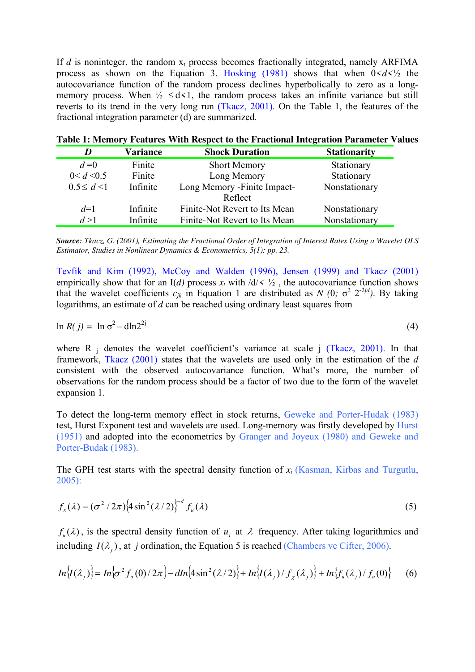If *d* is noninteger, the random  $x_t$  process becomes fractionally integrated, namely ARFIMA process as shown on the Equation 3. Hosking (1981) shows that when  $0 \le d \le \frac{1}{2}$  the autocovariance function of the random process declines hyperbolically to zero as a longmemory process. When  $\frac{1}{2} \le d < 1$ , the random process takes an infinite variance but still reverts to its trend in the very long run (Tkacz, 2001). On the Table 1, the features of the fractional integration parameter (d) are summarized.

| I)                | Variance | <b>Shock Duration</b>         | <b>Stationarity</b> |
|-------------------|----------|-------------------------------|---------------------|
| $d=0$             | Finite   | <b>Short Memory</b>           | Stationary          |
| 0 < d < 0.5       | Finite   | Long Memory                   | Stationary          |
| $0.5 \le d \le 1$ | Infinite | Long Memory - Finite Impact-  | Nonstationary       |
|                   |          | Reflect                       |                     |
| $d=1$             | Infinite | Finite-Not Revert to Its Mean | Nonstationary       |
| d > 1             | Infinite | Finite-Not Revert to Its Mean | Nonstationary       |

**Table 1: Memory Features With Respect to the Fractional Integration Parameter Values** 

*Source: Tkacz, G. (2001), Estimating the Fractional Order of Integration of Interest Rates Using a Wavelet OLS Estimator, Studies in Nonlinear Dynamics & Econometrics, 5(1): pp. 23.* 

Tevfik and Kim (1992), McCoy and Walden (1996), Jensen (1999) and Tkacz (2001) empirically show that for an I(*d*) process  $x_t$  with  $\frac{d}{< 1/2}$ , the autocovariance function shows that the wavelet coefficients  $c_{jk}$  in Equation 1 are distributed as *N* (0*;*  $\sigma^2$  2<sup>-2*jd*</sup>). By taking logarithms, an estimate of *d* can be reached using ordinary least squares from

$$
\ln R(j) = \ln \sigma^2 - \mathrm{dln} 2^{2j} \tag{4}
$$

where R  $\beta$  denotes the wavelet coefficient's variance at scale j (Tkacz, 2001). In that framework, Tkacz (2001) states that the wavelets are used only in the estimation of the *d*  consistent with the observed autocovariance function. What's more, the number of observations for the random process should be a factor of two due to the form of the wavelet expansion 1.

To detect the long-term memory effect in stock returns, Geweke and Porter-Hudak (1983) test, Hurst Exponent test and wavelets are used. Long-memory was firstly developed by Hurst (1951) and adopted into the econometrics by Granger and Joyeux (1980) and Geweke and Porter-Budak (1983).

The GPH test starts with the spectral density function of *xi* (Kasman, Kirbas and Turgutlu, 2005):

$$
f_x(\lambda) = (\sigma^2 / 2\pi) \left\{ 4\sin^2(\lambda/2) \right\}^{-d} f_u(\lambda)
$$
 (5)

 $f_u(\lambda)$ , is the spectral density function of  $u_i$  at  $\lambda$  frequency. After taking logarithmics and including  $I(\lambda_j)$ , at *j* ordination, the Equation 5 is reached (Chambers ve Cifter, 2006).

$$
In\left\{I(\lambda_j)\right\} = In\left\{\sigma^2 f_u(0)/2\pi\right\} - dIn\left\{\left(4\sin^2\left(\lambda/2\right)\right\} + In\left\{I(\lambda_j)/f_x(\lambda_j)\right\} + In\left\{f_u(\lambda_j)/f_u(0)\right\} \tag{6}
$$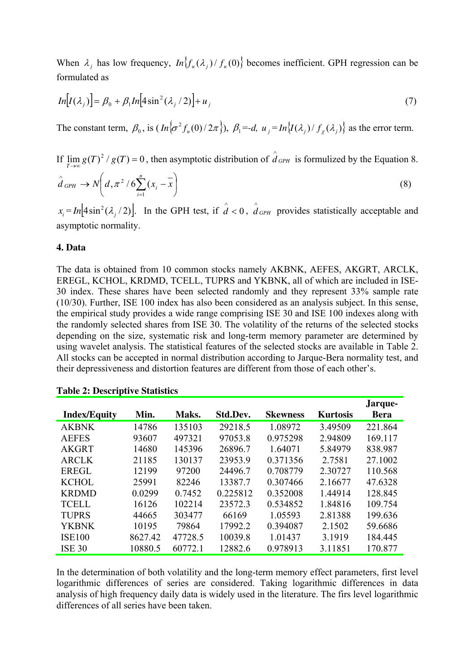When  $\lambda_j$  has low frequency,  $In\{f_u(\lambda_j)/f_u(0)\}$  becomes inefficient. GPH regression can be formulated as

$$
In[I(\lambda_j)] = \beta_0 + \beta_1 In[4\sin^2(\lambda_j/2)] + u_j
$$
\n(7)

The constant term,  $\beta_0$ , is  $\left(\ln\left\{\sigma^2 f_u(0)/2\pi\right\}\right)$  $\int ln \{\sigma^2 f_u(0)/2\pi\}$ ,  $\beta_1 = -d$ ,  $u_j = \ln \{I(\lambda_j)/f_\chi(\lambda_j)\}$  as the error term.

If  $\lim_{T\to\infty} g(T)^2 / g(T) = 0$ , then asymptotic distribution of  $\hat{d}_{GPH}$  is formulized by the Equation 8.

$$
\hat{d}_{GPH} \rightarrow N\left(d, \pi^2 / 6\sum_{i=1}^n (x_i - \overline{x})\right)
$$
\n(8)

 $x_i = ln[4 \sin^2(\lambda_i / 2)].$ *In*  $\left[4\sin^2(\lambda_j/2)\right]$ . In the GPH test, if  $\hat{d} < 0$ ,  $\hat{d}_{GPH}$  provides statistically acceptable and asymptotic normality.

#### **4. Data**

The data is obtained from 10 common stocks namely AKBNK, AEFES, AKGRT, ARCLK, EREGL, KCHOL, KRDMD, TCELL, TUPRS and YKBNK, all of which are included in ISE-30 index. These shares have been selected randomly and they represent 33% sample rate (10/30). Further, ISE 100 index has also been considered as an analysis subject. In this sense, the empirical study provides a wide range comprising ISE 30 and ISE 100 indexes along with the randomly selected shares from ISE 30. The volatility of the returns of the selected stocks depending on the size, systematic risk and long-term memory parameter are determined by using wavelet analysis. The statistical features of the selected stocks are available in Table 2. All stocks can be accepted in normal distribution according to Jarque-Bera normality test, and their depressiveness and distortion features are different from those of each other's.

| <b>Index/Equity</b> | Min.    | Maks.   | Std.Dev. | <b>Skewness</b> | <b>Kurtosis</b> | Jarque-<br><b>Bera</b> |
|---------------------|---------|---------|----------|-----------------|-----------------|------------------------|
|                     |         |         |          |                 |                 |                        |
| <b>AKBNK</b>        | 14786   | 135103  | 29218.5  | 1.08972         | 3.49509         | 221.864                |
| <b>AEFES</b>        | 93607   | 497321  | 97053.8  | 0.975298        | 2.94809         | 169.117                |
| <b>AKGRT</b>        | 14680   | 145396  | 26896.7  | 1.64071         | 5.84979         | 838.987                |
| <b>ARCLK</b>        | 21185   | 130137  | 23953.9  | 0.371356        | 2.7581          | 27.1002                |
| <b>EREGL</b>        | 12199   | 97200   | 24496.7  | 0.708779        | 2.30727         | 110.568                |
| <b>KCHOL</b>        | 25991   | 82246   | 13387.7  | 0.307466        | 2.16677         | 47.6328                |
| <b>KRDMD</b>        | 0.0299  | 0.7452  | 0.225812 | 0.352008        | 1.44914         | 128.845                |
| <b>TCELL</b>        | 16126   | 102214  | 23572.3  | 0.534852        | 1.84816         | 109.754                |
| <b>TUPRS</b>        | 44665   | 303477  | 66169    | 1.05593         | 2.81388         | 199.636                |
| <b>YKBNK</b>        | 10195   | 79864   | 17992.2  | 0.394087        | 2.1502          | 59.6686                |
| <b>ISE100</b>       | 8627.42 | 47728.5 | 10039.8  | 1.01437         | 3.1919          | 184.445                |
| <b>ISE 30</b>       | 10880.5 | 60772.1 | 12882.6  | 0.978913        | 3.11851         | 170.877                |

In the determination of both volatility and the long-term memory effect parameters, first level logarithmic differences of series are considered. Taking logarithmic differences in data analysis of high frequency daily data is widely used in the literature. The firs level logarithmic differences of all series have been taken.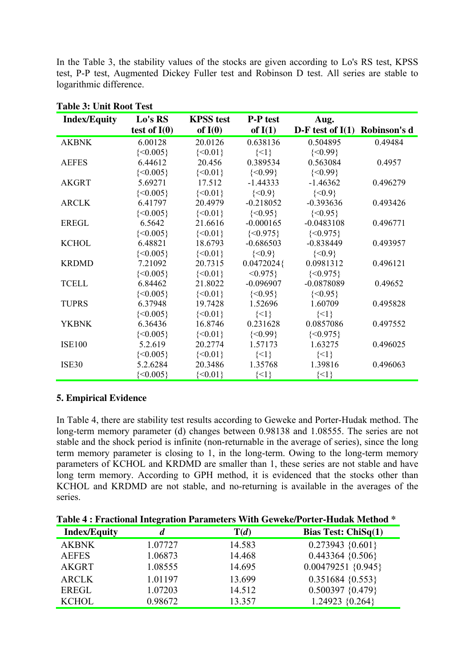In the Table 3, the stability values of the stocks are given according to Lo's RS test, KPSS test, P-P test, Augmented Dickey Fuller test and Robinson D test. All series are stable to logarithmic difference.

| <b>Index/Equity</b> | Lo's RS        | <b>KPSS</b> test | <b>P-P</b> test | Aug.                          |          |
|---------------------|----------------|------------------|-----------------|-------------------------------|----------|
|                     | test of $I(0)$ | of $I(0)$        | of $I(1)$       | D-F test of I(1) Robinson's d |          |
| <b>AKBNK</b>        | 6.00128        | 20.0126          | 0.638136        | 0.504895                      | 0.49484  |
|                     | ${<}0.005$     | ${<}0.01$        | $\{<1\}$        | ${<}0.99$                     |          |
| <b>AEFES</b>        | 6.44612        | 20.456           | 0.389534        | 0.563084                      | 0.4957   |
|                     | $\{<0.005\}$   | ${<}0.01$        | ${<}0.99$       | $\{<0.99\}$                   |          |
| <b>AKGRT</b>        | 5.69271        | 17.512           | $-1.44333$      | $-1.46362$                    | 0.496279 |
|                     | $\{<0.005\}$   | ${<}0.01$        | $\{<0.9\}$      | ${<}0.9$                      |          |
| <b>ARCLK</b>        | 6.41797        | 20.4979          | $-0.218052$     | $-0.393636$                   | 0.493426 |
|                     | $\{<0.005\}$   | ${<}0.01$        | $\{<0.95\}$     | ${<}0.95$                     |          |
| <b>EREGL</b>        | 6.5642         | 21.6616          | $-0.000165$     | $-0.0483108$                  | 0.496771 |
|                     | ${<}0.005$     | ${<}0.01$        | $\{<0.975\}$    | ${<}0.975$                    |          |
| <b>KCHOL</b>        | 6.48821        | 18.6793          | $-0.686503$     | $-0.838449$                   | 0.493957 |
|                     | $\{<0.005\}$   | ${<}0.01$        | ${<}0.9$        | ${<}0.9$                      |          |
| <b>KRDMD</b>        | 7.21092        | 20.7315          | $0.0472024\{$   | 0.0981312                     | 0.496121 |
|                     | $\{<0.005\}$   | ${<}0.01$        | <0.975          | $\{<0.975\}$                  |          |
| <b>TCELL</b>        | 6.84462        | 21.8022          | $-0.096907$     | $-0.0878089$                  | 0.49652  |
|                     | $\{<0.005\}$   | ${<}0.01$        | ${<}0.95$       | ${<}0.95$                     |          |
| <b>TUPRS</b>        | 6.37948        | 19.7428          | 1.52696         | 1.60709                       | 0.495828 |
|                     | ${<}0.005$     | ${<}0.01$        | $\{<1\}$        | $\{<1\}$                      |          |
| <b>YKBNK</b>        | 6.36436        | 16.8746          | 0.231628        | 0.0857086                     | 0.497552 |
|                     | ${<}0.005$     | ${<}0.01$        | ${<}0.99$       | ${<}0.975$                    |          |
| <b>ISE100</b>       | 5.2.619        | 20.2774          | 1.57173         | 1.63275                       | 0.496025 |
|                     | $\{<0.005\}$   | ${<}0.01$        | $\{<1\}$        | $\{<1\}$                      |          |
| <b>ISE30</b>        | 5.2.6284       | 20.3486          | 1.35768         | 1.39816                       | 0.496063 |
|                     | $\{<0.005\}$   | ${<}0.01$        | ${<}1$ }        | ${<}1$                        |          |

# **Table 3: Unit Root Test**

# **5. Empirical Evidence**

In Table 4, there are stability test results according to Geweke and Porter-Hudak method. The long-term memory parameter (d) changes between 0.98138 and 1.08555. The series are not stable and the shock period is infinite (non-returnable in the average of series), since the long term memory parameter is closing to 1, in the long-term. Owing to the long-term memory parameters of KCHOL and KRDMD are smaller than 1, these series are not stable and have long term memory. According to GPH method, it is evidenced that the stocks other than KCHOL and KRDMD are not stable, and no-returning is available in the averages of the series.

| Table 4: Fractional Integration Parameters With Geweke/Porter-Hudak Method * |  |
|------------------------------------------------------------------------------|--|
|------------------------------------------------------------------------------|--|

| <b>Index/Equity</b> | $\overline{\phantom{a}}$ | $\mathbf{T}(d)$ | Bias Test: $ChiSq(1)$  |
|---------------------|--------------------------|-----------------|------------------------|
| <b>AKBNK</b>        | 1.07727                  | 14.583          | $0.273943 \{0.601\}$   |
| <b>AEFES</b>        | 1.06873                  | 14.468          | $0.443364 \{0.506\}$   |
| AKGRT               | 1.08555                  | 14.695          | $0.00479251 \{0.945\}$ |
| <b>ARCLK</b>        | 1.01197                  | 13.699          | 0.351684 {0.553}       |
| <b>EREGL</b>        | 1.07203                  | 14.512          | $0.500397 \{0.479\}$   |
| <b>KCHOL</b>        | 0.98672                  | 13.357          | 1.24923 {0.264}        |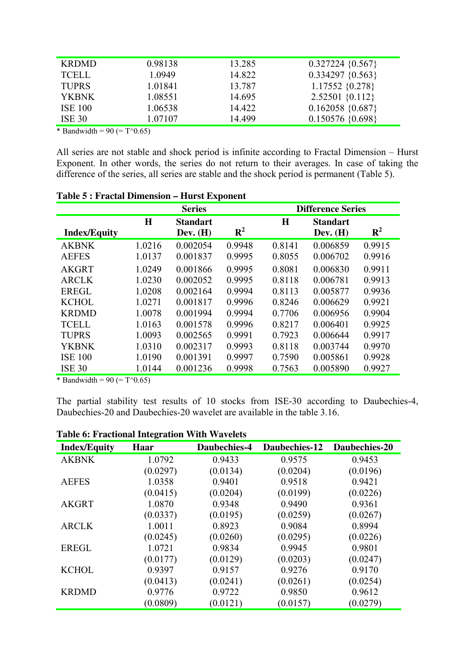| <b>KRDMD</b>   | 0.98138 | 13.285 | $0.327224 \{0.567\}$ |
|----------------|---------|--------|----------------------|
| <b>TCELL</b>   | 1.0949  | 14.822 | $0.334297 \{0.563\}$ |
| <b>TUPRS</b>   | 1.01841 | 13.787 | 1.17552 {0.278}      |
| <b>YKBNK</b>   | 1.08551 | 14.695 | $2.52501 \{0.112\}$  |
| <b>ISE 100</b> | 1.06538 | 14.422 | $0.162058 \{0.687\}$ |
| <b>ISE 30</b>  | 1.07107 | 14.499 | $0.150576 \{0.698\}$ |

\* Bandwidth = 90 (=  $T^0.65$ )

All series are not stable and shock period is infinite according to Fractal Dimension – Hurst Exponent. In other words, the series do not return to their averages. In case of taking the difference of the series, all series are stable and the shock period is permanent (Table 5).

|                     | <b>Series</b> |                 |             | <b>Difference Series</b> |                 |             |
|---------------------|---------------|-----------------|-------------|--------------------------|-----------------|-------------|
|                     | $\bf H$       | <b>Standart</b> |             | $\bf H$                  | <b>Standart</b> |             |
| <b>Index/Equity</b> |               | Dev. $(H)$      | ${\bf R}^2$ |                          | Dev. $(H)$      | ${\bf R}^2$ |
| <b>AKBNK</b>        | 1.0216        | 0.002054        | 0.9948      | 0.8141                   | 0.006859        | 0.9915      |
| <b>AEFES</b>        | 1.0137        | 0.001837        | 0.9995      | 0.8055                   | 0.006702        | 0.9916      |
| <b>AKGRT</b>        | 1.0249        | 0.001866        | 0.9995      | 0.8081                   | 0.006830        | 0.9911      |
| <b>ARCLK</b>        | 1.0230        | 0.002052        | 0.9995      | 0.8118                   | 0.006781        | 0.9913      |
| <b>EREGL</b>        | 1.0208        | 0.002164        | 0.9994      | 0.8113                   | 0.005877        | 0.9936      |
| <b>KCHOL</b>        | 1.0271        | 0.001817        | 0.9996      | 0.8246                   | 0.006629        | 0.9921      |
| <b>KRDMD</b>        | 1.0078        | 0.001994        | 0.9994      | 0.7706                   | 0.006956        | 0.9904      |
| <b>TCELL</b>        | 1.0163        | 0.001578        | 0.9996      | 0.8217                   | 0.006401        | 0.9925      |
| <b>TUPRS</b>        | 1.0093        | 0.002565        | 0.9991      | 0.7923                   | 0.006644        | 0.9917      |
| <b>YKBNK</b>        | 1.0310        | 0.002317        | 0.9993      | 0.8118                   | 0.003744        | 0.9970      |
| <b>ISE 100</b>      | 1.0190        | 0.001391        | 0.9997      | 0.7590                   | 0.005861        | 0.9928      |
| <b>ISE 30</b>       | 1.0144        | 0.001236        | 0.9998      | 0.7563                   | 0.005890        | 0.9927      |

**Table 5 : Fractal Dimension – Hurst Exponent** 

\* Bandwidth = 90 (=  $T^0$ .65)

The partial stability test results of 10 stocks from ISE-30 according to Daubechies-4, Daubechies-20 and Daubechies-20 wavelet are available in the table 3.16.

| <b>Index/Equity</b> | $\mathbf{\sigma}$<br>Haar | <b>Daubechies-4</b> | Daubechies-12 | Daubechies-20 |
|---------------------|---------------------------|---------------------|---------------|---------------|
| <b>AKBNK</b>        | 1.0792                    | 0.9433              | 0.9575        | 0.9453        |
|                     | (0.0297)                  | (0.0134)            | (0.0204)      | (0.0196)      |
| <b>AEFES</b>        | 1.0358                    | 0.9401              | 0.9518        | 0.9421        |
|                     | (0.0415)                  | (0.0204)            | (0.0199)      | (0.0226)      |
| <b>AKGRT</b>        | 1.0870                    | 0.9348              | 0.9490        | 0.9361        |
|                     | (0.0337)                  | (0.0195)            | (0.0259)      | (0.0267)      |
| <b>ARCLK</b>        | 1.0011                    | 0.8923              | 0.9084        | 0.8994        |
|                     | (0.0245)                  | (0.0260)            | (0.0295)      | (0.0226)      |
| EREGL               | 1.0721                    | 0.9834              | 0.9945        | 0.9801        |
|                     | (0.0177)                  | (0.0129)            | (0.0203)      | (0.0247)      |
| <b>KCHOL</b>        | 0.9397                    | 0.9157              | 0.9276        | 0.9170        |
|                     | (0.0413)                  | (0.0241)            | (0.0261)      | (0.0254)      |
| <b>KRDMD</b>        | 0.9776                    | 0.9722              | 0.9850        | 0.9612        |
|                     | (0.0809)                  | (0.0121)            | (0.0157)      | (0.0279)      |

# **Table 6: Fractional Integration With Wavelets**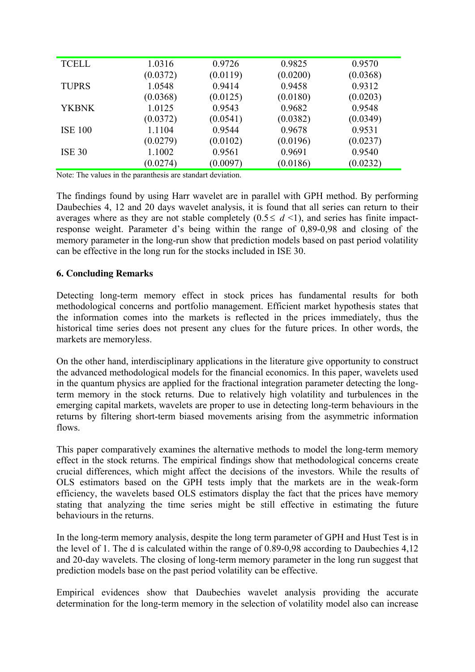| <b>TCELL</b>   | 1.0316   | 0.9726   | 0.9825   | 0.9570   |
|----------------|----------|----------|----------|----------|
|                | (0.0372) | (0.0119) | (0.0200) | (0.0368) |
| <b>TUPRS</b>   | 1.0548   | 0.9414   | 0.9458   | 0.9312   |
|                | (0.0368) | (0.0125) | (0.0180) | (0.0203) |
| <b>YKBNK</b>   | 1.0125   | 0.9543   | 0.9682   | 0.9548   |
|                | (0.0372) | (0.0541) | (0.0382) | (0.0349) |
| <b>ISE 100</b> | 1.1104   | 0.9544   | 0.9678   | 0.9531   |
|                | (0.0279) | (0.0102) | (0.0196) | (0.0237) |
| <b>ISE 30</b>  | 1.1002   | 0.9561   | 0.9691   | 0.9540   |
|                | (0.0274) | (0.0097) | (0.0186) | (0.0232) |

Note: The values in the paranthesis are standart deviation.

The findings found by using Harr wavelet are in parallel with GPH method. By performing Daubechies 4, 12 and 20 days wavelet analysis, it is found that all series can return to their averages where as they are not stable completely  $(0.5 \le d \le 1)$ , and series has finite impactresponse weight. Parameter d's being within the range of 0,89-0,98 and closing of the memory parameter in the long-run show that prediction models based on past period volatility can be effective in the long run for the stocks included in ISE 30.

# **6. Concluding Remarks**

Detecting long-term memory effect in stock prices has fundamental results for both methodological concerns and portfolio management. Efficient market hypothesis states that the information comes into the markets is reflected in the prices immediately, thus the historical time series does not present any clues for the future prices. In other words, the markets are memoryless.

On the other hand, interdisciplinary applications in the literature give opportunity to construct the advanced methodological models for the financial economics. In this paper, wavelets used in the quantum physics are applied for the fractional integration parameter detecting the longterm memory in the stock returns. Due to relatively high volatility and turbulences in the emerging capital markets, wavelets are proper to use in detecting long-term behaviours in the returns by filtering short-term biased movements arising from the asymmetric information flows.

This paper comparatively examines the alternative methods to model the long-term memory effect in the stock returns. The empirical findings show that methodological concerns create crucial differences, which might affect the decisions of the investors. While the results of OLS estimators based on the GPH tests imply that the markets are in the weak-form efficiency, the wavelets based OLS estimators display the fact that the prices have memory stating that analyzing the time series might be still effective in estimating the future behaviours in the returns.

In the long-term memory analysis, despite the long term parameter of GPH and Hust Test is in the level of 1. The d is calculated within the range of 0.89-0,98 according to Daubechies 4,12 and 20-day wavelets. The closing of long-term memory parameter in the long run suggest that prediction models base on the past period volatility can be effective.

Empirical evidences show that Daubechies wavelet analysis providing the accurate determination for the long-term memory in the selection of volatility model also can increase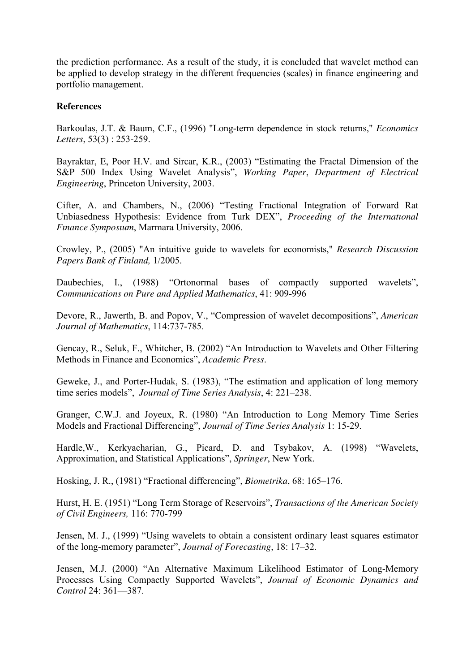the prediction performance. As a result of the study, it is concluded that wavelet method can be applied to develop strategy in the different frequencies (scales) in finance engineering and portfolio management.

## **References**

Barkoulas, J.T. & Baum, C.F., (1996) "Long-term dependence in stock returns," *Economics Letters*, 53(3) : 253-259.

Bayraktar, E, Poor H.V. and Sircar, K.R., (2003) "Estimating the Fractal Dimension of the S&P 500 Index Using Wavelet Analysis", *Working Paper*, *Department of Electrical Engineering*, Princeton University, 2003.

Cifter, A. and Chambers, N., (2006) "Testing Fractional Integration of Forward Rat Unbiasedness Hypothesis: Evidence from Turk DEX", *Proceeding of the Internatıonal Fınance Symposıum*, Marmara University, 2006.

Crowley, P., (2005) "An intuitive guide to wavelets for economists," *Research Discussion Papers Bank of Finland,* 1/2005.

Daubechies, I., (1988) "Ortonormal bases of compactly supported wavelets", *Communications on Pure and Applied Mathematics*, 41: 909-996

Devore, R., Jawerth, B. and Popov, V., "Compression of wavelet decompositions", *American Journal of Mathematics*, 114:737-785.

Gencay, R., Seluk, F., Whitcher, B. (2002) "An Introduction to Wavelets and Other Filtering Methods in Finance and Economics", *Academic Press*.

Geweke, J., and Porter-Hudak, S. (1983), "The estimation and application of long memory time series models", *Journal of Time Series Analysis*, 4: 221–238.

Granger, C.W.J. and Joyeux, R. (1980) "An Introduction to Long Memory Time Series Models and Fractional Differencing", *Journal of Time Series Analysis* 1: 15-29.

Hardle,W., Kerkyacharian, G., Picard, D. and Tsybakov, A. (1998) "Wavelets, Approximation, and Statistical Applications", *Springer*, New York.

Hosking, J. R., (1981) "Fractional differencing", *Biometrika*, 68: 165–176.

Hurst, H. E. (1951) "Long Term Storage of Reservoirs", *Transactions of the American Society of Civil Engineers,* 116: 770-799

Jensen, M. J., (1999) "Using wavelets to obtain a consistent ordinary least squares estimator of the long-memory parameter", *Journal of Forecasting*, 18: 17–32.

Jensen, M.J. (2000) "An Alternative Maximum Likelihood Estimator of Long-Memory Processes Using Compactly Supported Wavelets", *Journal of Economic Dynamics and Control* 24: 361—387.